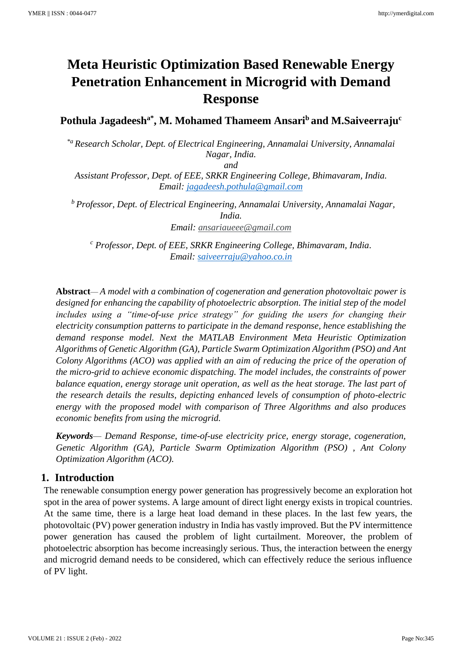# **Meta Heuristic Optimization Based Renewable Energy Penetration Enhancement in Microgrid with Demand Response**

**Pothula Jagadeesha\* , M. Mohamed Thameem Ansari<sup>b</sup> and M.Saiveerraju<sup>c</sup>**

*\*a Research Scholar, Dept. of Electrical Engineering, Annamalai University, Annamalai Nagar, India.*

*and* 

*Assistant Professor, Dept. of EEE, SRKR Engineering College, Bhimavaram, India. Email: [jagadeesh.pothula@gmail.com](mailto:jagadeesh.pothula@gmail.com)*

*<sup>b</sup> Professor, Dept. of Electrical Engineering, Annamalai University, Annamalai Nagar, India. Email: [ansariaueee@gmail.com](mailto:ansariaueee@gmail.com)*

*<sup>c</sup> Professor, Dept. of EEE, SRKR Engineering College, Bhimavaram, India. Email: [saiveerraju@yahoo.co.in](mailto:saiveerraju@yahoo.co.in)*

**Abstract**— *A model with a combination of cogeneration and generation photovoltaic power is designed for enhancing the capability of photoelectric absorption. The initial step of the model includes using a "time-of-use price strategy" for guiding the users for changing their electricity consumption patterns to participate in the demand response, hence establishing the demand response model. Next the MATLAB Environment Meta Heuristic Optimization Algorithms of Genetic Algorithm (GA), Particle Swarm Optimization Algorithm (PSO) and Ant Colony Algorithms (ACO) was applied with an aim of reducing the price of the operation of the micro-grid to achieve economic dispatching. The model includes, the constraints of power balance equation, energy storage unit operation, as well as the heat storage. The last part of the research details the results, depicting enhanced levels of consumption of photo-electric energy with the proposed model with comparison of Three Algorithms and also produces economic benefits from using the microgrid.*

*Keywords— Demand Response, time-of-use electricity price, energy storage, cogeneration, Genetic Algorithm (GA), Particle Swarm Optimization Algorithm (PSO) , Ant Colony Optimization Algorithm (ACO).*

## **1. Introduction**

The renewable consumption energy power generation has progressively become an exploration hot spot in the area of power systems. A large amount of direct light energy exists in tropical countries. At the same time, there is a large heat load demand in these places. In the last few years, the photovoltaic (PV) power generation industry in India has vastly improved. But the PV intermittence power generation has caused the problem of light curtailment. Moreover, the problem of photoelectric absorption has become increasingly serious. Thus, the interaction between the energy and microgrid demand needs to be considered, which can effectively reduce the serious influence of PV light.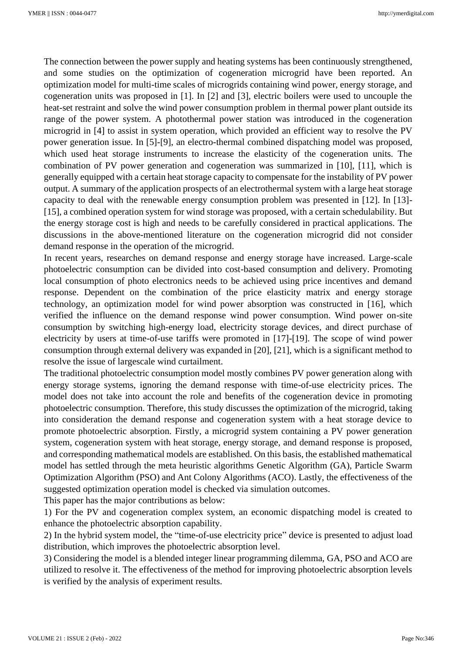The connection between the power supply and heating systems has been continuously strengthened, and some studies on the optimization of cogeneration microgrid have been reported. An optimization model for multi-time scales of microgrids containing wind power, energy storage, and cogeneration units was proposed in [1]. In [2] and [3], electric boilers were used to uncouple the heat-set restraint and solve the wind power consumption problem in thermal power plant outside its range of the power system. A photothermal power station was introduced in the cogeneration microgrid in [4] to assist in system operation, which provided an efficient way to resolve the PV power generation issue. In [5]-[9], an electro-thermal combined dispatching model was proposed, which used heat storage instruments to increase the elasticity of the cogeneration units. The combination of PV power generation and cogeneration was summarized in [10], [11], which is generally equipped with a certain heat storage capacity to compensate for the instability of PV power output. A summary of the application prospects of an electrothermal system with a large heat storage capacity to deal with the renewable energy consumption problem was presented in [12]. In [13]- [15], a combined operation system for wind storage was proposed, with a certain schedulability. But the energy storage cost is high and needs to be carefully considered in practical applications. The discussions in the above-mentioned literature on the cogeneration microgrid did not consider demand response in the operation of the microgrid.

In recent years, researches on demand response and energy storage have increased. Large-scale photoelectric consumption can be divided into cost-based consumption and delivery. Promoting local consumption of photo electronics needs to be achieved using price incentives and demand response. Dependent on the combination of the price elasticity matrix and energy storage technology, an optimization model for wind power absorption was constructed in [16], which verified the influence on the demand response wind power consumption. Wind power on-site consumption by switching high-energy load, electricity storage devices, and direct purchase of electricity by users at time-of-use tariffs were promoted in [17]-[19]. The scope of wind power consumption through external delivery was expanded in [20], [21], which is a significant method to resolve the issue of largescale wind curtailment.

The traditional photoelectric consumption model mostly combines PV power generation along with energy storage systems, ignoring the demand response with time-of-use electricity prices. The model does not take into account the role and benefits of the cogeneration device in promoting photoelectric consumption. Therefore, this study discusses the optimization of the microgrid, taking into consideration the demand response and cogeneration system with a heat storage device to promote photoelectric absorption. Firstly, a microgrid system containing a PV power generation system, cogeneration system with heat storage, energy storage, and demand response is proposed, and corresponding mathematical models are established. On this basis, the established mathematical model has settled through the meta heuristic algorithms Genetic Algorithm (GA), Particle Swarm Optimization Algorithm (PSO) and Ant Colony Algorithms (ACO). Lastly, the effectiveness of the suggested optimization operation model is checked via simulation outcomes.

This paper has the major contributions as below:

1) For the PV and cogeneration complex system, an economic dispatching model is created to enhance the photoelectric absorption capability.

2) In the hybrid system model, the "time-of-use electricity price" device is presented to adjust load distribution, which improves the photoelectric absorption level.

3) Considering the model is a blended integer linear programming dilemma, GA, PSO and ACO are utilized to resolve it. The effectiveness of the method for improving photoelectric absorption levels is verified by the analysis of experiment results.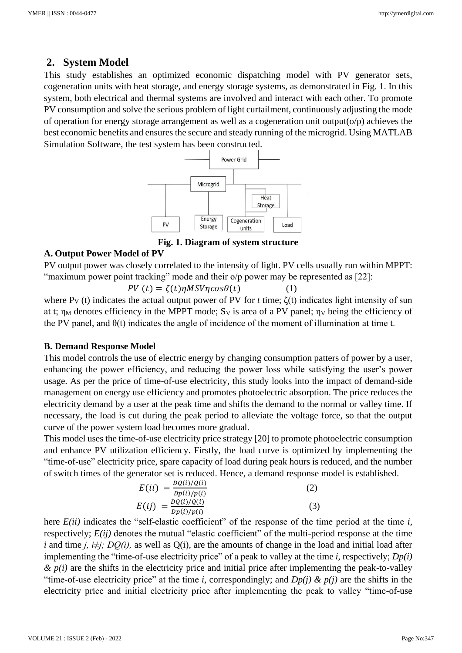## **2. System Model**

This study establishes an optimized economic dispatching model with PV generator sets, cogeneration units with heat storage, and energy storage systems, as demonstrated in Fig. 1. In this system, both electrical and thermal systems are involved and interact with each other. To promote PV consumption and solve the serious problem of light curtailment, continuously adjusting the mode of operation for energy storage arrangement as well as a cogeneration unit output( $o/p$ ) achieves the best economic benefits and ensures the secure and steady running of the microgrid. Using MATLAB Simulation Software, the test system has been constructed.



**Fig. 1. Diagram of system structure**

#### **A. Output Power Model of PV**

PV output power was closely correlated to the intensity of light. PV cells usually run within MPPT: "maximum power point tracking" mode and their o/p power may be represented as [22]:

$$
PV(t) = \zeta(t)\eta MSV\eta cos\theta(t)
$$
 (1)

where  $P_V(t)$  indicates the actual output power of PV for *t* time;  $\zeta(t)$  indicates light intensity of sun at t;  $\eta_M$  denotes efficiency in the MPPT mode; S<sub>V</sub> is area of a PV panel;  $\eta_V$  being the efficiency of the PV panel, and  $\theta(t)$  indicates the angle of incidence of the moment of illumination at time t.

## **B. Demand Response Model**

This model controls the use of electric energy by changing consumption patters of power by a user, enhancing the power efficiency, and reducing the power loss while satisfying the user's power usage. As per the price of time-of-use electricity, this study looks into the impact of demand-side management on energy use efficiency and promotes photoelectric absorption. The price reduces the electricity demand by a user at the peak time and shifts the demand to the normal or valley time. If necessary, the load is cut during the peak period to alleviate the voltage force, so that the output curve of the power system load becomes more gradual.

This model uses the time-of-use electricity price strategy [20] to promote photoelectric consumption and enhance PV utilization efficiency. Firstly, the load curve is optimized by implementing the "time-of-use" electricity price, spare capacity of load during peak hours is reduced, and the number of switch times of the generator set is reduced. Hence, a demand response model is established.

$$
E(ii) = \frac{DQ(i)/Q(i)}{Dp(i)/p(i)}
$$
(2)  

$$
E(ij) = \frac{DQ(i)/Q(i)}{Dp(i)/p(i)}
$$
(3)

here  $E(ii)$  indicates the "self-elastic coefficient" of the response of the time period at the time *i*, respectively;  $E(ij)$  denotes the mutual "elastic coefficient" of the multi-period response at the time *i* and time *j, i≠j; DQ(i),* as well as Q(i), are the amounts of change in the load and initial load after implementing the "time-of-use electricity price" of a peak to valley at the time *i,* respectively; *Dp(i)*   $\& p(i)$  are the shifts in the electricity price and initial price after implementing the peak-to-valley "time-of-use electricity price" at the time *i*, correspondingly; and  $Dp(i) \& p(i)$  are the shifts in the electricity price and initial electricity price after implementing the peak to valley "time-of-use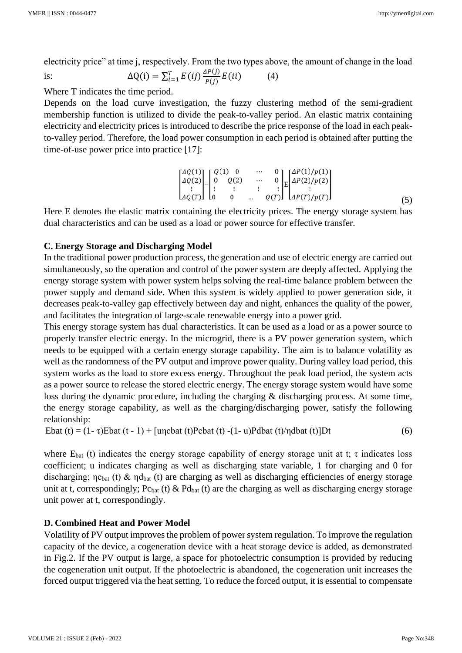electricity price" at time j, respectively. From the two types above, the amount of change in the load

is: 
$$
\Delta Q(i) = \sum_{i=1}^{T} E(ij) \frac{\Delta P(j)}{P(j)} E(ii)
$$
 (4)

Where T indicates the time period.

Depends on the load curve investigation, the fuzzy clustering method of the semi-gradient membership function is utilized to divide the peak-to-valley period. An elastic matrix containing electricity and electricity prices is introduced to describe the price response of the load in each peakto-valley period. Therefore, the load power consumption in each period is obtained after putting the time-of-use power price into practice [17]:

$$
\begin{bmatrix}\n\Delta Q(1) \\
\Delta Q(2) \\
\vdots \\
\Delta Q(T)\n\end{bmatrix}\n=\n\begin{bmatrix}\nQ(1) & 0 & \cdots & 0 \\
0 & Q(2) & \cdots & 0 \\
\vdots & \vdots & \vdots & \vdots \\
0 & 0 & \cdots & Q(T)\n\end{bmatrix}\n\begin{bmatrix}\n\Delta P(1)/p(1) \\
\Delta P(2)/p(2) \\
\vdots \\
\Delta P(T)/p(T)\n\end{bmatrix}
$$
\n(5)

Here E denotes the elastic matrix containing the electricity prices. The energy storage system has dual characteristics and can be used as a load or power source for effective transfer.

## **C. Energy Storage and Discharging Model**

In the traditional power production process, the generation and use of electric energy are carried out simultaneously, so the operation and control of the power system are deeply affected. Applying the energy storage system with power system helps solving the real-time balance problem between the power supply and demand side. When this system is widely applied to power generation side, it decreases peak-to-valley gap effectively between day and night, enhances the quality of the power, and facilitates the integration of large-scale renewable energy into a power grid.

This energy storage system has dual characteristics. It can be used as a load or as a power source to properly transfer electric energy. In the microgrid, there is a PV power generation system, which needs to be equipped with a certain energy storage capability. The aim is to balance volatility as well as the randomness of the PV output and improve power quality. During valley load period, this system works as the load to store excess energy. Throughout the peak load period, the system acts as a power source to release the stored electric energy. The energy storage system would have some loss during the dynamic procedure, including the charging & discharging process. At some time, the energy storage capability, as well as the charging/discharging power, satisfy the following relationship:

Ebat (t) =  $(1 - \tau)$ Ebat  $(t - 1)$  + [uncbat (t)Pcbat (t) - $(1 - \tau)$ Pdbat (t)/ndbat (t)]Dt (6)

where  $E<sub>bat</sub>$  (t) indicates the energy storage capability of energy storage unit at t; τ indicates loss coefficient; u indicates charging as well as discharging state variable, 1 for charging and 0 for discharging;  $\eta c_{bat}$  (t) &  $\eta d_{bat}$  (t) are charging as well as discharging efficiencies of energy storage unit at t, correspondingly;  $P_{\text{Cbat}}(t) \& P_{\text{d}_{\text{bat}}}(t)$  are the charging as well as discharging energy storage unit power at t, correspondingly.

## **D. Combined Heat and Power Model**

Volatility of PV output improves the problem of power system regulation. To improve the regulation capacity of the device, a cogeneration device with a heat storage device is added, as demonstrated in Fig.2. If the PV output is large, a space for photoelectric consumption is provided by reducing the cogeneration unit output. If the photoelectric is abandoned, the cogeneration unit increases the forced output triggered via the heat setting. To reduce the forced output, it is essential to compensate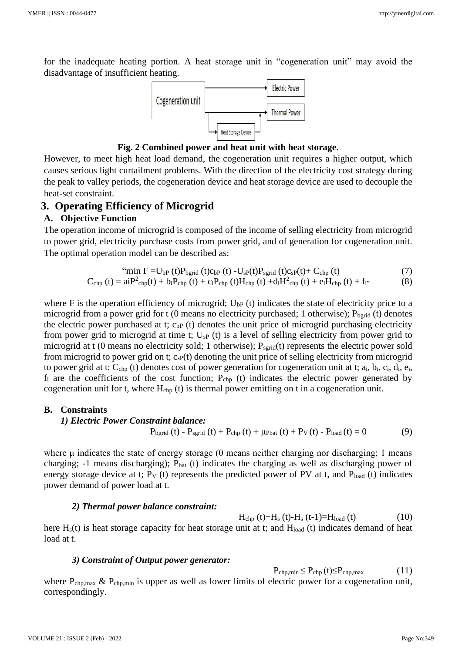for the inadequate heating portion. A heat storage unit in "cogeneration unit" may avoid the disadvantage of insufficient heating.



**Fig. 2 Combined power and heat unit with heat storage.**

However, to meet high heat load demand, the cogeneration unit requires a higher output, which causes serious light curtailment problems. With the direction of the electricity cost strategy during the peak to valley periods, the cogeneration device and heat storage device are used to decouple the heat-set constraint.

#### **3. Operating Efficiency of Microgrid**

#### **A. Objective Function**

The operation income of microgrid is composed of the income of selling electricity from microgrid to power grid, electricity purchase costs from power grid, and of generation for cogeneration unit. The optimal operation model can be described as:

$$
"min F = U_{bP} (t) P_{bgrid} (t) c_{bP} (t) - U_{sP}(t) P_{sgrid} (t) c_{sP}(t) + C_{chp} (t)
$$
\n
$$
(7)
$$

$$
C_{chp}(t) = aiP2_{chp}(t) + b_i P_{chp}(t) + c_i P_{chp}(t) H_{chp}(t) + d_i H2_{chp}(t) + e_i H_{chp}(t) + f_i
$$
 (8)

where F is the operation efficiency of microgrid;  $U_{bP}$  (t) indicates the state of electricity price to a microgrid from a power grid for  $t$  (0 means no electricity purchased; 1 otherwise);  $P_{bgrid}$  (t) denotes the electric power purchased at t;  $c_{bP}$  (t) denotes the unit price of microgrid purchasing electricity from power grid to microgrid at time t;  $U_{SP}$  (t) is a level of selling electricity from power grid to microgrid at t (0 means no electricity sold; 1 otherwise);  $P_{\text{serial}}(t)$  represents the electric power sold from microgrid to power grid on t;  $c_{SP}(t)$  denoting the unit price of selling electricity from microgrid to power grid at t;  $C_{\text{chp}}$  (t) denotes cost of power generation for cogeneration unit at t;  $a_i$ ,  $b_i$ ,  $c_i$ ,  $d_i$ ,  $e_i$ ,  $f_i$  are the coefficients of the cost function;  $P_{chp}$  (t) indicates the electric power generated by cogeneration unit for t, where  $H_{chp}$  (t) is thermal power emitting on t in a cogeneration unit.

#### **B. Constraints**

#### *1) Electric Power Constraint balance:*

 $P_{bgrid} (t) - P_{sgrid} (t) + P_{chp} (t) + \mu_{\text{Pbat}} (t) + P_V (t) - P_{\text{load}} (t) = 0$  (9)

where μ indicates the state of energy storage (0 means neither charging nor discharging; 1 means charging;  $-1$  means discharging);  $P_{bat}$  (t) indicates the charging as well as discharging power of energy storage device at t;  $P_V$  (t) represents the predicted power of PV at t, and  $P_{load}$  (t) indicates power demand of power load at t.

#### *2) Thermal power balance constraint:*

 $H_{\rm chp} (t)+H_{\rm s} (t)-H_{\rm s} (t-1)=H_{\rm load} (t)$  (10)

here  $H<sub>s</sub>(t)$  is heat storage capacity for heat storage unit at t; and  $H<sub>load</sub>$  (t) indicates demand of heat load at t.

#### *3) Constraint of Output power generator:*

 $P_{\text{chp,min}} \leq P_{\text{chp}}(t) \leq P_{\text{chp,max}}$  (11)

where  $P_{\text{chp,max}}$  &  $P_{\text{chp,min}}$  is upper as well as lower limits of electric power for a cogeneration unit, correspondingly.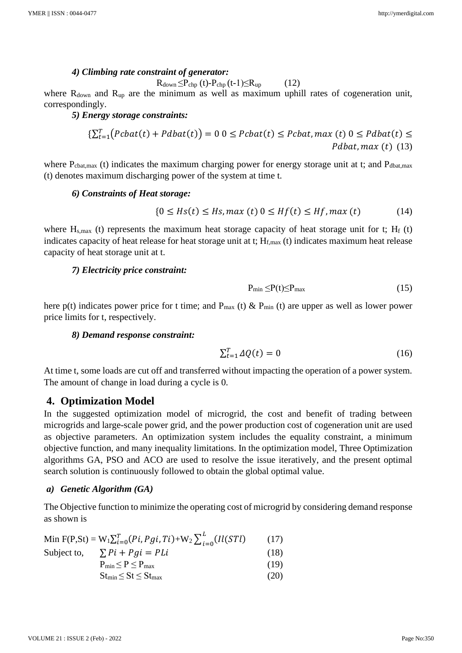#### *4) Climbing rate constraint of generator:*

 $R_{down} \leq P_{chp} (t) - P_{chp} (t-1) \leq R_{up}$  (12)

where  $R_{down}$  and  $R_{up}$  are the minimum as well as maximum uphill rates of cogeneration unit, correspondingly.

## *5) Energy storage constraints:*

$$
\{\sum_{t=1}^{T} \big( \text{Pcbat}(t) + \text{Pdbat}(t) \big) = 0 \ 0 \le \text{Pcbat}(t) \le \text{Pcbat}, \max(t) \ 0 \le \text{Pdbat}(t) \le \text{Pdbat}(t) \le \text{Pdbat}, \max(t) \ (13)
$$

where  $P_{\text{cbat,max}}$  (t) indicates the maximum charging power for energy storage unit at t; and  $P_{\text{dbat,max}}$ (t) denotes maximum discharging power of the system at time t.

#### *6) Constraints of Heat storage:*

$$
\{0 \le Hs(t) \le Hs, \max(t) \le Hf(t) \le Hf, \max(t) \tag{14}
$$

where  $H_{s,max}$  (t) represents the maximum heat storage capacity of heat storage unit for t;  $H_f$  (t) indicates capacity of heat release for heat storage unit at t;  $H_{f, max}$  (t) indicates maximum heat release capacity of heat storage unit at t.

#### *7) Electricity price constraint:*

$$
P_{\min} \leq P(t) \leq P_{\max} \tag{15}
$$

here p(t) indicates power price for t time; and  $P_{max}$  (t) &  $P_{min}$  (t) are upper as well as lower power price limits for t, respectively.

#### *8) Demand response constraint:*

$$
\sum_{t=1}^{T} \Delta Q(t) = 0 \tag{16}
$$

At time t, some loads are cut off and transferred without impacting the operation of a power system. The amount of change in load during a cycle is 0.

## **4. Optimization Model**

In the suggested optimization model of microgrid, the cost and benefit of trading between microgrids and large-scale power grid, and the power production cost of cogeneration unit are used as objective parameters. An optimization system includes the equality constraint, a minimum objective function, and many inequality limitations. In the optimization model, Three Optimization algorithms GA, PSO and ACO are used to resolve the issue iteratively, and the present optimal search solution is continuously followed to obtain the global optimal value.

#### *a) Genetic Algorithm (GA)*

The Objective function to minimize the operating cost of microgrid by considering demand response as shown is

| Min F(P,St) = $W_1 \sum_{i=0}^{T} (Pi, Pgi, Ti) + W_2 \sum_{i=0}^{L} (II(STl)$ | (17) |
|--------------------------------------------------------------------------------|------|
| Subject to, $\sum Pi + Pgi = PLi$                                              | (18) |
| $P_{min} \leq P \leq P_{max}$                                                  | (19) |
| $St_{\text{min}} \leq St \leq St_{\text{max}}$                                 | (20) |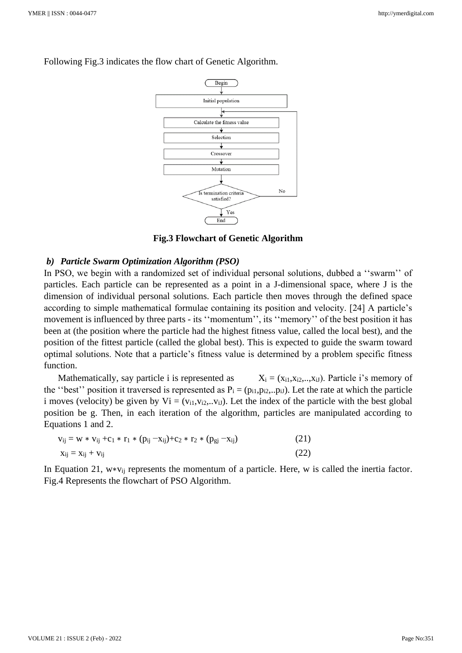

Following Fig.3 indicates the flow chart of Genetic Algorithm.

**Fig.3 Flowchart of Genetic Algorithm**

#### *b) Particle Swarm Optimization Algorithm (PSO)*

In PSO, we begin with a randomized set of individual personal solutions, dubbed a "swarm" of particles. Each particle can be represented as a point in a J-dimensional space, where J is the dimension of individual personal solutions. Each particle then moves through the defined space according to simple mathematical formulae containing its position and velocity. [24] A particle's movement is influenced by three parts - its ''momentum'', its ''memory'' of the best position it has been at (the position where the particle had the highest fitness value, called the local best), and the position of the fittest particle (called the global best). This is expected to guide the swarm toward optimal solutions. Note that a particle's fitness value is determined by a problem specific fitness function.

Mathematically, say particle i is represented as  $X_i = (x_{i1}, x_{i2},...,x_{iJ})$ . Particle i's memory of the "best" position it traversed is represented as  $P_i = (p_{i1}, p_{i2}, p_{iJ})$ . Let the rate at which the particle i moves (velocity) be given by  $Vi = (v_{i1}, v_{i2}, \ldots, v_{iJ})$ . Let the index of the particle with the best global position be g. Then, in each iteration of the algorithm, particles are manipulated according to Equations 1 and 2.

| $v_{ij} = w * v_{ij} + c_1 * r_1 * (p_{ij} - x_{ij}) + c_2 * r_2 * (p_{gj} - x_{ij})$ | (21) |
|---------------------------------------------------------------------------------------|------|
| $X_{ij} = X_{ij} + V_{ij}$                                                            | (22) |

In Equation 21, w∗vij represents the momentum of a particle. Here, w is called the inertia factor. Fig.4 Represents the flowchart of PSO Algorithm.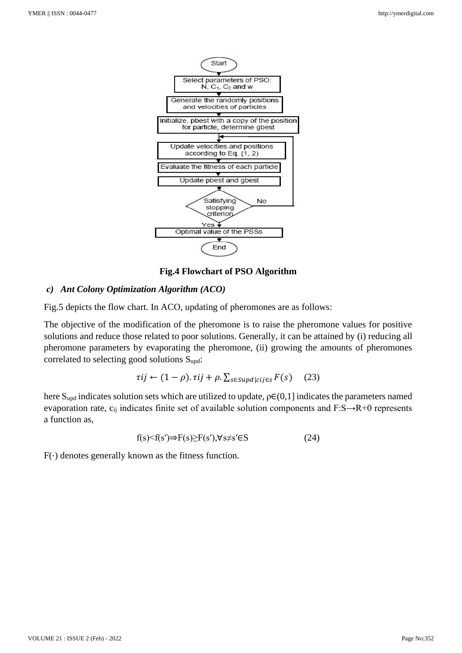

**Fig.4 Flowchart of PSO Algorithm**

## *c) Ant Colony Optimization Algorithm (ACO)*

Fig.5 depicts the flow chart. In ACO, updating of pheromones are as follows:

The objective of the modification of the pheromone is to raise the pheromone values for positive solutions and reduce those related to poor solutions. Generally, it can be attained by (i) reducing all pheromone parameters by evaporating the pheromone, (ii) growing the amounts of pheromones correlated to selecting good solutions Supd:

$$
\tau ij \leftarrow (1 - \rho). \tau ij + \rho. \sum_{s \in Supd | cij \in s} F(s) \quad (23)
$$

here  $S_{\text{upd}}$  indicates solution sets which are utilized to update,  $\rho \in (0,1]$  indicates the parameters named evaporation rate, c<sub>ij</sub> indicates finite set of available solution components and F:S→R+0 represents a function as,

$$
f(s) < f(s') \Rightarrow F(s) \geq F(s'), \forall s \neq s' \in S
$$
 (24)

 $F(\cdot)$  denotes generally known as the fitness function.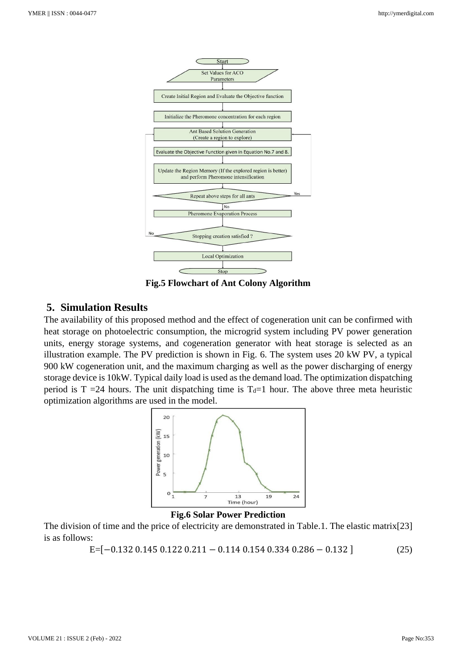

**Fig.5 Flowchart of Ant Colony Algorithm**

## **5. Simulation Results**

The availability of this proposed method and the effect of cogeneration unit can be confirmed with heat storage on photoelectric consumption, the microgrid system including PV power generation units, energy storage systems, and cogeneration generator with heat storage is selected as an illustration example. The PV prediction is shown in Fig. 6. The system uses 20 kW PV, a typical 900 kW cogeneration unit, and the maximum charging as well as the power discharging of energy storage device is 10kW. Typical daily load is used as the demand load. The optimization dispatching period is T =24 hours. The unit dispatching time is  $T<sub>d</sub>=1$  hour. The above three meta heuristic optimization algorithms are used in the model.



**Fig.6 Solar Power Prediction**

The division of time and the price of electricity are demonstrated in Table.1. The elastic matrix[23] is as follows:

E=[−0.132 0.145 0.122 0.211 − 0.114 0.154 0.334 0.286 − 0.132 ] (25)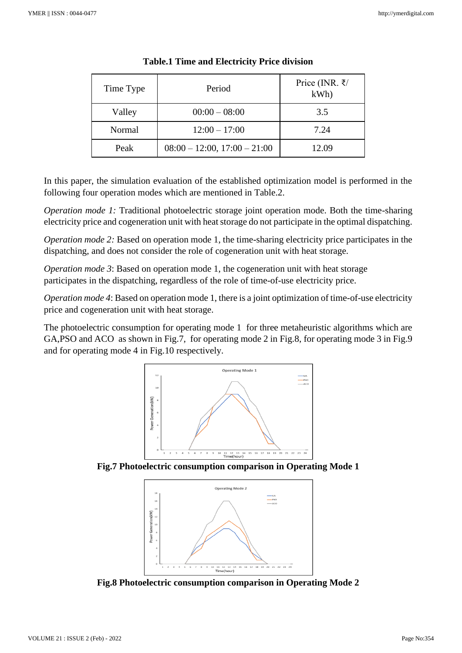| Time Type | Period                         | Price (INR. ₹/<br>kWh |
|-----------|--------------------------------|-----------------------|
| Valley    | $00:00 - 08:00$                | 3.5                   |
| Normal    | $12:00 - 17:00$                | 7.24                  |
| Peak      | $08:00 - 12:00, 17:00 - 21:00$ | 12.09                 |

#### **Table.1 Time and Electricity Price division**

In this paper, the simulation evaluation of the established optimization model is performed in the following four operation modes which are mentioned in Table.2.

*Operation mode 1:* Traditional photoelectric storage joint operation mode. Both the time-sharing electricity price and cogeneration unit with heat storage do not participate in the optimal dispatching.

*Operation mode 2:* Based on operation mode 1, the time-sharing electricity price participates in the dispatching, and does not consider the role of cogeneration unit with heat storage.

*Operation mode 3*: Based on operation mode 1, the cogeneration unit with heat storage participates in the dispatching, regardless of the role of time-of-use electricity price.

*Operation mode 4*: Based on operation mode 1, there is a joint optimization of time-of-use electricity price and cogeneration unit with heat storage.

The photoelectric consumption for operating mode 1 for three metaheuristic algorithms which are GA,PSO and ACO as shown in Fig.7, for operating mode 2 in Fig.8, for operating mode 3 in Fig.9 and for operating mode 4 in Fig.10 respectively.



**Fig.7 Photoelectric consumption comparison in Operating Mode 1**



**Fig.8 Photoelectric consumption comparison in Operating Mode 2**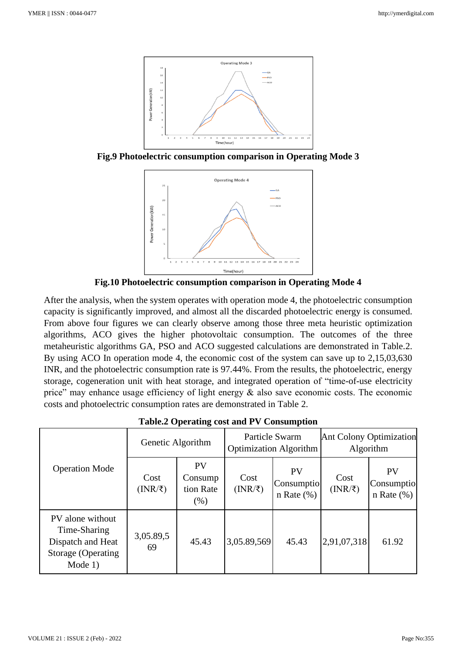

**Fig.9 Photoelectric consumption comparison in Operating Mode 3**



**Fig.10 Photoelectric consumption comparison in Operating Mode 4**

After the analysis, when the system operates with operation mode 4, the photoelectric consumption capacity is significantly improved, and almost all the discarded photoelectric energy is consumed. From above four figures we can clearly observe among those three meta heuristic optimization algorithms, ACO gives the higher photovoltaic consumption. The outcomes of the three metaheuristic algorithms GA, PSO and ACO suggested calculations are demonstrated in Table.2. By using ACO In operation mode 4, the economic cost of the system can save up to 2,15,03,630 INR, and the photoelectric consumption rate is 97.44%. From the results, the photoelectric, energy storage, cogeneration unit with heat storage, and integrated operation of "time-of-use electricity price" may enhance usage efficiency of light energy & also save economic costs. The economic costs and photoelectric consumption rates are demonstrated in Table 2.

| rabicle Operating cost and r v Consumption                                               |                           |                                             |                                                 |                                            |                                             |                                            |
|------------------------------------------------------------------------------------------|---------------------------|---------------------------------------------|-------------------------------------------------|--------------------------------------------|---------------------------------------------|--------------------------------------------|
| <b>Operation Mode</b>                                                                    | Genetic Algorithm         |                                             | Particle Swarm<br><b>Optimization Algorithm</b> |                                            | <b>Ant Colony Optimization</b><br>Algorithm |                                            |
|                                                                                          | Cost<br>$(NR/\bar{\tau})$ | <b>PV</b><br>Consump<br>tion Rate<br>$(\%)$ | Cost<br>(NR/ξ)                                  | <b>PV</b><br>Consumptio<br>$n$ Rate $(\%)$ | Cost<br>$(INR/\bar{\tau})$                  | <b>PV</b><br>Consumptio<br>$n$ Rate $(\%)$ |
| PV alone without<br>Time-Sharing<br>Dispatch and Heat<br>Storage (Operating<br>Mode $1)$ | 3,05.89,5<br>69           | 45.43                                       | 3,05.89,569                                     | 45.43                                      | 2,91,07,318                                 | 61.92                                      |

**Table.2 Operating cost and PV Consumption**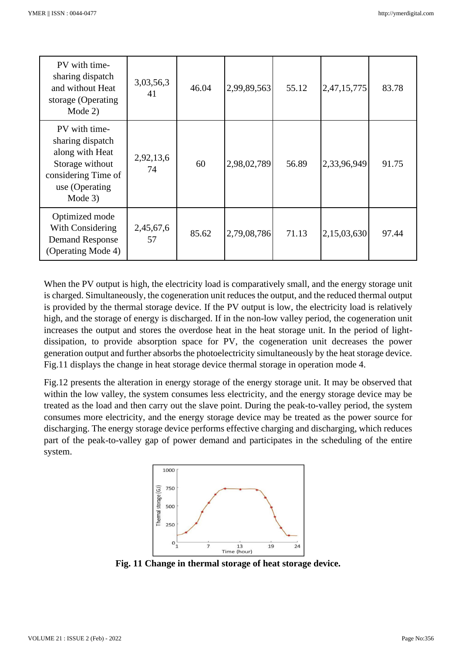| PV with time-<br>sharing dispatch<br>and without Heat<br>storage (Operating<br>Mode 2)                                       | 3,03,56,3<br>41 | 46.04 | 2,99,89,563 | 55.12 | 2,47,15,775 | 83.78 |
|------------------------------------------------------------------------------------------------------------------------------|-----------------|-------|-------------|-------|-------------|-------|
| PV with time-<br>sharing dispatch<br>along with Heat<br>Storage without<br>considering Time of<br>use (Operating)<br>Mode 3) | 2,92,13,6<br>74 | 60    | 2,98,02,789 | 56.89 | 2,33,96,949 | 91.75 |
| Optimized mode<br>With Considering<br><b>Demand Response</b><br>(Operating Mode 4)                                           | 2,45,67,6<br>57 | 85.62 | 2,79,08,786 | 71.13 | 2,15,03,630 | 97.44 |

When the PV output is high, the electricity load is comparatively small, and the energy storage unit is charged. Simultaneously, the cogeneration unit reduces the output, and the reduced thermal output is provided by the thermal storage device. If the PV output is low, the electricity load is relatively high, and the storage of energy is discharged. If in the non-low valley period, the cogeneration unit increases the output and stores the overdose heat in the heat storage unit. In the period of lightdissipation, to provide absorption space for PV, the cogeneration unit decreases the power generation output and further absorbs the photoelectricity simultaneously by the heat storage device. Fig.11 displays the change in heat storage device thermal storage in operation mode 4.

Fig.12 presents the alteration in energy storage of the energy storage unit. It may be observed that within the low valley, the system consumes less electricity, and the energy storage device may be treated as the load and then carry out the slave point. During the peak-to-valley period, the system consumes more electricity, and the energy storage device may be treated as the power source for discharging. The energy storage device performs effective charging and discharging, which reduces part of the peak-to-valley gap of power demand and participates in the scheduling of the entire system.



**Fig. 11 Change in thermal storage of heat storage device.**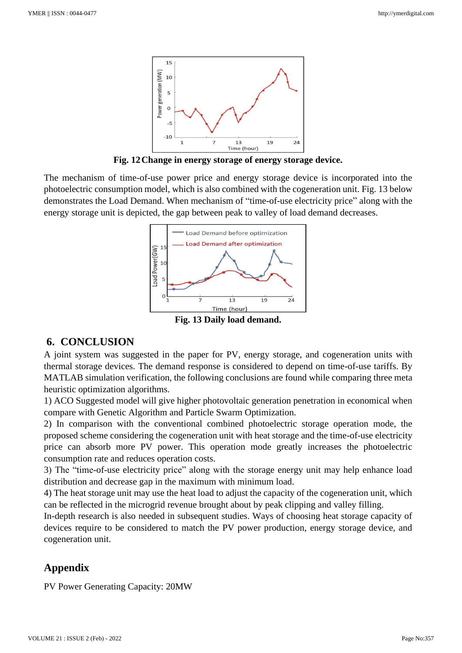

**Fig. 12Change in energy storage of energy storage device.**

The mechanism of time-of-use power price and energy storage device is incorporated into the photoelectric consumption model, which is also combined with the cogeneration unit. Fig. 13 below demonstrates the Load Demand. When mechanism of "time-of-use electricity price" along with the energy storage unit is depicted, the gap between peak to valley of load demand decreases.



## **6. CONCLUSION**

A joint system was suggested in the paper for PV, energy storage, and cogeneration units with thermal storage devices. The demand response is considered to depend on time-of-use tariffs. By MATLAB simulation verification, the following conclusions are found while comparing three meta heuristic optimization algorithms.

1) ACO Suggested model will give higher photovoltaic generation penetration in economical when compare with Genetic Algorithm and Particle Swarm Optimization.

2) In comparison with the conventional combined photoelectric storage operation mode, the proposed scheme considering the cogeneration unit with heat storage and the time-of-use electricity price can absorb more PV power. This operation mode greatly increases the photoelectric consumption rate and reduces operation costs.

3) The "time-of-use electricity price" along with the storage energy unit may help enhance load distribution and decrease gap in the maximum with minimum load.

4) The heat storage unit may use the heat load to adjust the capacity of the cogeneration unit, which can be reflected in the microgrid revenue brought about by peak clipping and valley filling.

In-depth research is also needed in subsequent studies. Ways of choosing heat storage capacity of devices require to be considered to match the PV power production, energy storage device, and cogeneration unit.

## **Appendix**

PV Power Generating Capacity: 20MW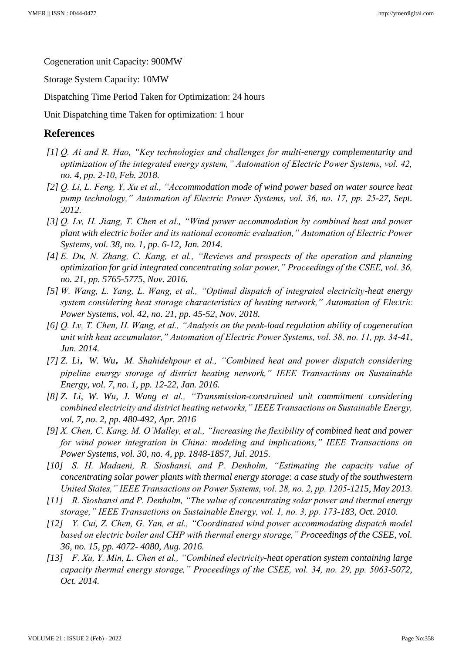Cogeneration unit Capacity: 900MW

Storage System Capacity: 10MW

Dispatching Time Period Taken for Optimization: 24 hours

Unit Dispatching time Taken for optimization: 1 hour

### **References**

- *[1] Q. Ai and R. Hao, "Key technologies and challenges for multi-energy complementarity and optimization of the integrated energy system," Automation of Electric Power Systems, vol. 42, no. 4, pp. 2-10, Feb. 2018.*
- *[2] Q. Li, L. Feng, Y. Xu et al., "Accommodation mode of wind power based on water source heat pump technology," Automation of Electric Power Systems, vol. 36, no. 17, pp. 25-27, Sept. 2012.*
- *[3] Q. Lv, H. Jiang, T. Chen et al., "Wind power accommodation by combined heat and power plant with electric boiler and its national economic evaluation," Automation of Electric Power Systems, vol. 38, no. 1, pp. 6-12, Jan. 2014.*
- *[4] E. Du, N. Zhang, C. Kang, et al., "Reviews and prospects of the operation and planning optimization for grid integrated concentrating solar power," Proceedings of the CSEE, vol. 36, no. 21, pp. 5765-5775, Nov. 2016.*
- *[5] W. Wang, L. Yang, L. Wang, et al., "Optimal dispatch of integrated electricity-heat energy system considering heat storage characteristics of heating network," Automation of Electric Power Systems, vol. 42, no. 21, pp. 45-52, Nov. 2018.*
- *[6] Q. Lv, T. Chen, H. Wang, et al., "Analysis on the peak-load regulation ability of cogeneration unit with heat accumulator," Automation of Electric Power Systems, vol. 38, no. 11, pp. 34-41, Jun. 2014.*
- *[7] Z. Li*,*W. Wu*,*M. Shahidehpour et al., "Combined heat and power dispatch considering pipeline energy storage of district heating network," IEEE Transactions on Sustainable Energy, vol. 7, no. 1, pp. 12-22, Jan. 2016.*
- *[8] Z. Li, W. Wu, J. Wang et al., "Transmission-constrained unit commitment considering combined electricity and district heating networks," IEEE Transactions on Sustainable Energy, vol. 7, no. 2, pp. 480-492, Apr. 2016*
- *[9] X. Chen, C. Kang, M. O'Malley, et al., "Increasing the flexibility of combined heat and power for wind power integration in China: modeling and implications," IEEE Transactions on Power Systems, vol. 30, no. 4, pp. 1848-1857, Jul. 2015.*
- *[10] S. H. Madaeni, R. Sioshansi, and P. Denholm, "Estimating the capacity value of concentrating solar power plants with thermal energy storage: a case study of the southwestern United States," IEEE Transactions on Power Systems, vol. 28, no. 2, pp. 1205-1215, May 2013.*
- *[11] R. Sioshansi and P. Denholm, "The value of concentrating solar power and thermal energy storage," IEEE Transactions on Sustainable Energy, vol. 1, no. 3, pp. 173-183, Oct. 2010.*
- *[12] Y. Cui, Z. Chen, G. Yan, et al., "Coordinated wind power accommodating dispatch model based on electric boiler and CHP with thermal energy storage," Proceedings of the CSEE, vol. 36, no. 15, pp. 4072- 4080, Aug. 2016.*
- *[13] F. Xu, Y. Min, L. Chen et al., "Combined electricity-heat operation system containing large capacity thermal energy storage," Proceedings of the CSEE, vol. 34, no. 29, pp. 5063-5072, Oct. 2014.*